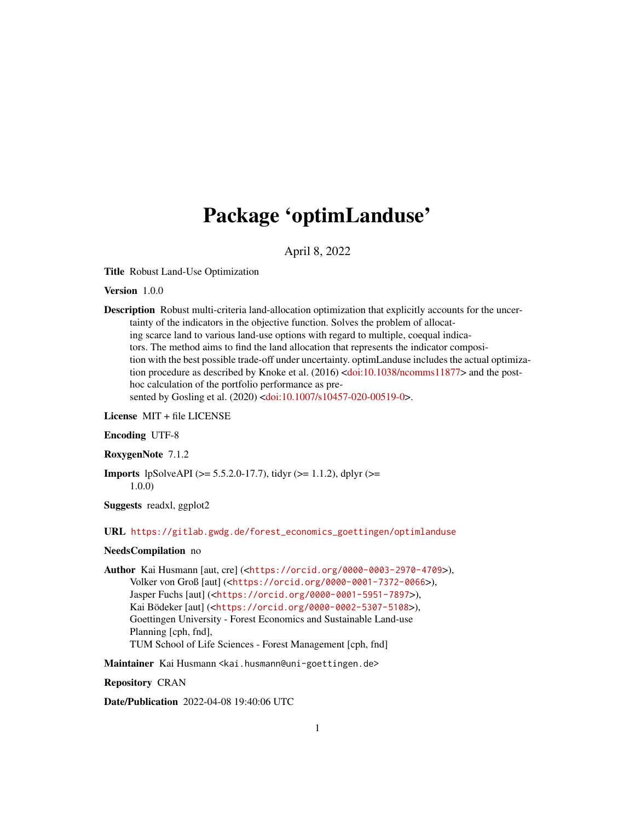# Package 'optimLanduse'

April 8, 2022

Title Robust Land-Use Optimization

Version 1.0.0

Description Robust multi-criteria land-allocation optimization that explicitly accounts for the uncertainty of the indicators in the objective function. Solves the problem of allocating scarce land to various land-use options with regard to multiple, coequal indicators. The method aims to find the land allocation that represents the indicator composition with the best possible trade-off under uncertainty. optimLanduse includes the actual optimization procedure as described by Knoke et al.  $(2016)$  [<doi:10.1038/ncomms11877>](https://doi.org/10.1038/ncomms11877) and the posthoc calculation of the portfolio performance as pre-sented by Gosling et al. (2020) [<doi:10.1007/s10457-020-00519-0>](https://doi.org/10.1007/s10457-020-00519-0).

License MIT + file LICENSE

#### Encoding UTF-8

RoxygenNote 7.1.2

Imports lpSolveAPI (>= 5.5.2.0-17.7), tidyr (>= 1.1.2), dplyr (>= 1.0.0)

Suggests readxl, ggplot2

URL [https://gitlab.gwdg.de/forest\\_economics\\_goettingen/optimlanduse](https://gitlab.gwdg.de/forest_economics_goettingen/optimlanduse)

#### NeedsCompilation no

Author Kai Husmann [aut, cre] (<<https://orcid.org/0000-0003-2970-4709>>), Volker von Groß [aut] (<<https://orcid.org/0000-0001-7372-0066>>), Jasper Fuchs [aut] (<<https://orcid.org/0000-0001-5951-7897>>), Kai Bödeker [aut] (<<https://orcid.org/0000-0002-5307-5108>>), Goettingen University - Forest Economics and Sustainable Land-use Planning [cph, fnd], TUM School of Life Sciences - Forest Management [cph, fnd]

Maintainer Kai Husmann <kai.husmann@uni-goettingen.de>

Repository CRAN

Date/Publication 2022-04-08 19:40:06 UTC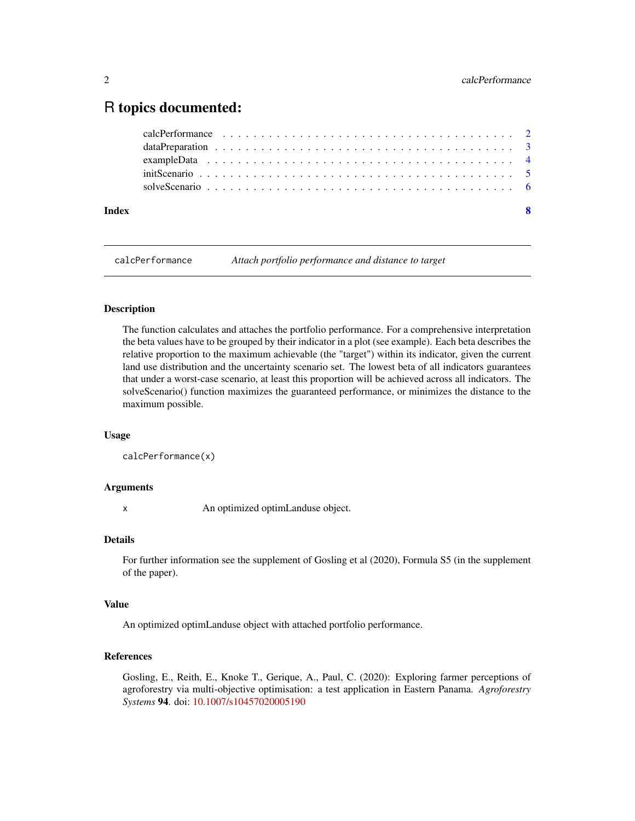# <span id="page-1-0"></span>R topics documented:

| Index | - 8 |
|-------|-----|
|       |     |
|       |     |
|       |     |
|       |     |
|       |     |

calcPerformance *Attach portfolio performance and distance to target*

#### Description

The function calculates and attaches the portfolio performance. For a comprehensive interpretation the beta values have to be grouped by their indicator in a plot (see example). Each beta describes the relative proportion to the maximum achievable (the "target") within its indicator, given the current land use distribution and the uncertainty scenario set. The lowest beta of all indicators guarantees that under a worst-case scenario, at least this proportion will be achieved across all indicators. The solveScenario() function maximizes the guaranteed performance, or minimizes the distance to the maximum possible.

#### Usage

```
calcPerformance(x)
```
#### Arguments

x An optimized optimLanduse object.

#### Details

For further information see the supplement of Gosling et al (2020), Formula S5 (in the supplement of the paper).

#### Value

An optimized optimLanduse object with attached portfolio performance.

#### References

Gosling, E., Reith, E., Knoke T., Gerique, A., Paul, C. (2020): Exploring farmer perceptions of agroforestry via multi-objective optimisation: a test application in Eastern Panama. *Agroforestry Systems* 94. doi: [10.1007/s10457020005190](https://doi.org/10.1007/s10457-020-00519-0)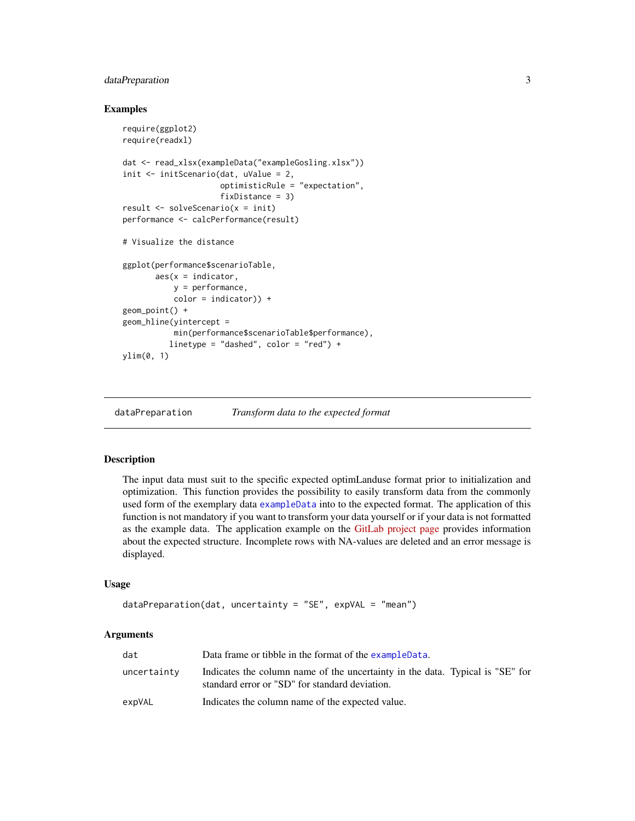# <span id="page-2-0"></span>dataPreparation 3

#### Examples

```
require(ggplot2)
require(readxl)
dat <- read_xlsx(exampleData("exampleGosling.xlsx"))
init <- initScenario(dat, uValue = 2,
                     optimisticRule = "expectation",
                     fixDistance = 3)
result <- solveScenario(x = init)
performance <- calcPerformance(result)
# Visualize the distance
ggplot(performance$scenarioTable,
      aes(x = inductor,y = performance,
           color = indicator) +
geom_point() +
geom_hline(yintercept =
           min(performance$scenarioTable$performance),
          linetype = "dashed", color = "red") +
ylim(0, 1)
```
dataPreparation *Transform data to the expected format*

#### Description

The input data must suit to the specific expected optimLanduse format prior to initialization and optimization. This function provides the possibility to easily transform data from the commonly used form of the exemplary data [exampleData](#page-3-1) into to the expected format. The application of this function is not mandatory if you want to transform your data yourself or if your data is not formatted as the example data. The application example on the [GitLab project page](https://gitlab.gwdg.de/forest_economics_goettingen/optimlanduse) provides information about the expected structure. Incomplete rows with NA-values are deleted and an error message is displayed.

#### Usage

```
dataPreparation(dat, uncertainty = "SE", expVAL = "mean")
```
#### Arguments

| dat         | Data frame or tibble in the format of the exampleData.                                                                          |
|-------------|---------------------------------------------------------------------------------------------------------------------------------|
| uncertaintv | Indicates the column name of the uncertainty in the data. Typical is "SE" for<br>standard error or "SD" for standard deviation. |
| expVAL      | Indicates the column name of the expected value.                                                                                |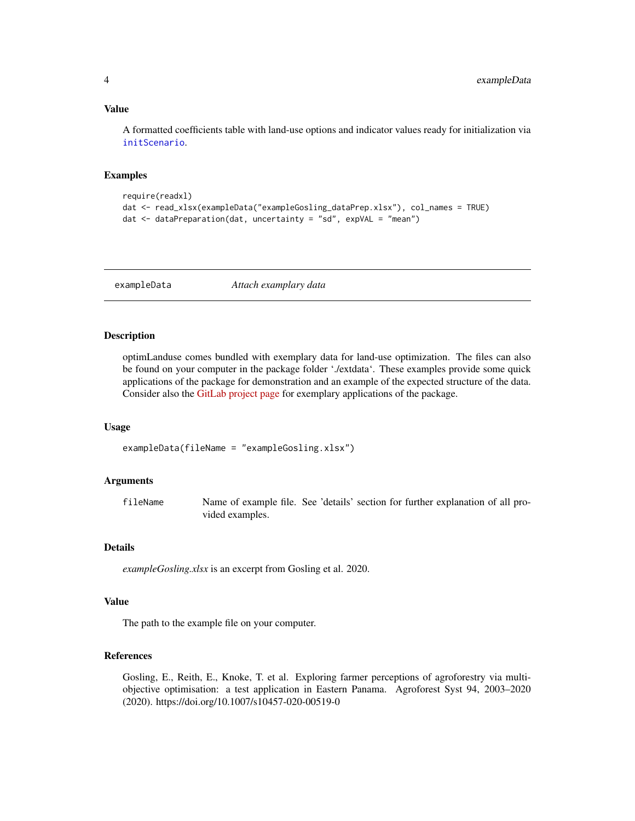#### <span id="page-3-0"></span>Value

A formatted coefficients table with land-use options and indicator values ready for initialization via [initScenario](#page-4-1).

#### Examples

```
require(readxl)
dat <- read_xlsx(exampleData("exampleGosling_dataPrep.xlsx"), col_names = TRUE)
dat \leq dataPreparation(dat, uncertainty = "sd", expVAL = "mean")
```
<span id="page-3-1"></span>exampleData *Attach examplary data*

#### Description

optimLanduse comes bundled with exemplary data for land-use optimization. The files can also be found on your computer in the package folder './extdata'. These examples provide some quick applications of the package for demonstration and an example of the expected structure of the data. Consider also the [GitLab project page](https://gitlab.gwdg.de/forest_economics_goettingen/optimlanduse) for exemplary applications of the package.

#### Usage

exampleData(fileName = "exampleGosling.xlsx")

#### Arguments

fileName Name of example file. See 'details' section for further explanation of all provided examples.

#### Details

*exampleGosling.xlsx* is an excerpt from Gosling et al. 2020.

#### Value

The path to the example file on your computer.

#### References

Gosling, E., Reith, E., Knoke, T. et al. Exploring farmer perceptions of agroforestry via multiobjective optimisation: a test application in Eastern Panama. Agroforest Syst 94, 2003–2020 (2020). https://doi.org/10.1007/s10457-020-00519-0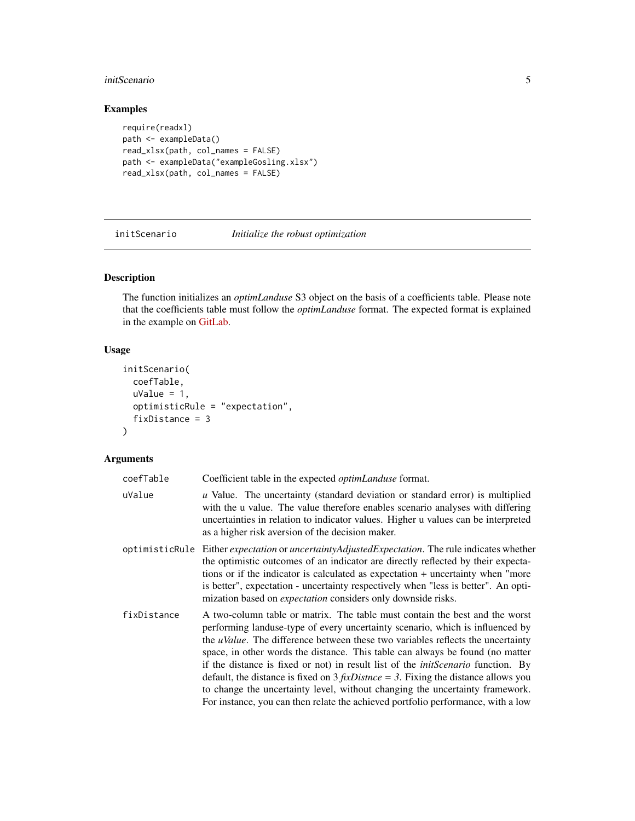#### <span id="page-4-0"></span>initScenario 5

# Examples

```
require(readxl)
path <- exampleData()
read_xlsx(path, col_names = FALSE)
path <- exampleData("exampleGosling.xlsx")
read_xlsx(path, col_names = FALSE)
```
<span id="page-4-1"></span>initScenario *Initialize the robust optimization*

# Description

The function initializes an *optimLanduse* S3 object on the basis of a coefficients table. Please note that the coefficients table must follow the *optimLanduse* format. The expected format is explained in the example on [GitLab.](https://gitlab.gwdg.de/forest_economics_goettingen/optimlanduse)

#### Usage

```
initScenario(
  coefTable,
  uValue = 1,
  optimisticRule = "expectation",
  fixDistance = 3
\mathcal{L}
```
#### Arguments

| coefTable   | Coefficient table in the expected <i>optimLanduse</i> format.                                                                                                                                                                                                                                                                                                                                                                                                                                                                                                                                                                                                                                   |
|-------------|-------------------------------------------------------------------------------------------------------------------------------------------------------------------------------------------------------------------------------------------------------------------------------------------------------------------------------------------------------------------------------------------------------------------------------------------------------------------------------------------------------------------------------------------------------------------------------------------------------------------------------------------------------------------------------------------------|
| uValue      | u Value. The uncertainty (standard deviation or standard error) is multiplied<br>with the u value. The value therefore enables scenario analyses with differing<br>uncertainties in relation to indicator values. Higher u values can be interpreted<br>as a higher risk aversion of the decision maker.                                                                                                                                                                                                                                                                                                                                                                                        |
|             | optimisticRule Either expectation or uncertaintyAdjustedExpectation. The rule indicates whether<br>the optimistic outcomes of an indicator are directly reflected by their expecta-<br>tions or if the indicator is calculated as expectation + uncertainty when "more<br>is better", expectation - uncertainty respectively when "less is better". An opti-<br>mization based on <i>expectation</i> considers only downside risks.                                                                                                                                                                                                                                                             |
| fixDistance | A two-column table or matrix. The table must contain the best and the worst<br>performing landuse-type of every uncertainty scenario, which is influenced by<br>the <i>uValue</i> . The difference between these two variables reflects the uncertainty<br>space, in other words the distance. This table can always be found (no matter<br>if the distance is fixed or not) in result list of the <i>initScenario</i> function. By<br>default, the distance is fixed on $3$ fixDistnce = 3. Fixing the distance allows you<br>to change the uncertainty level, without changing the uncertainty framework.<br>For instance, you can then relate the achieved portfolio performance, with a low |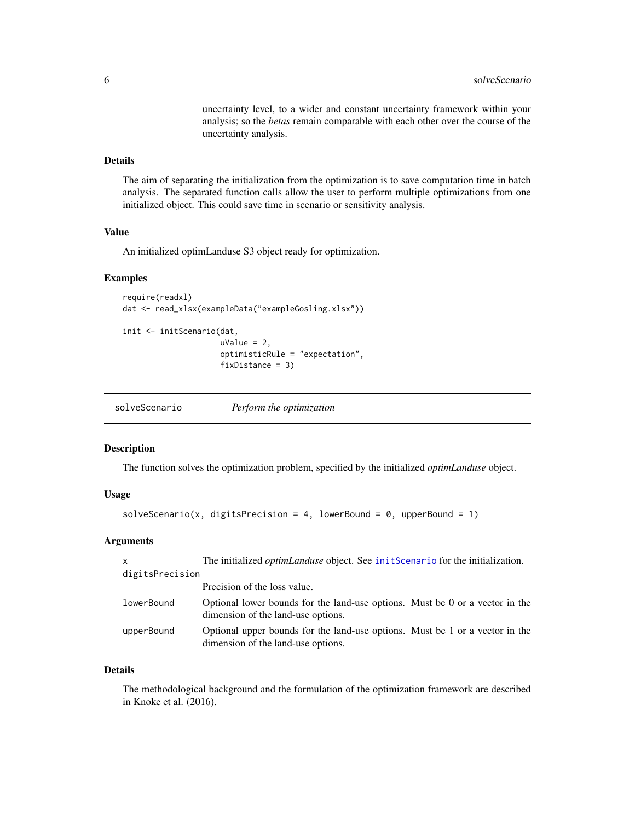uncertainty level, to a wider and constant uncertainty framework within your analysis; so the *betas* remain comparable with each other over the course of the uncertainty analysis.

# <span id="page-5-0"></span>Details

The aim of separating the initialization from the optimization is to save computation time in batch analysis. The separated function calls allow the user to perform multiple optimizations from one initialized object. This could save time in scenario or sensitivity analysis.

#### Value

An initialized optimLanduse S3 object ready for optimization.

#### Examples

```
require(readxl)
dat <- read_xlsx(exampleData("exampleGosling.xlsx"))
```

```
init <- initScenario(dat,
                     uValue = 2,
                     optimisticRule = "expectation",
                     fixDistance = 3)
```

| solveScenario | Perform the optimization |
|---------------|--------------------------|
|               |                          |

#### Description

The function solves the optimization problem, specified by the initialized *optimLanduse* object.

#### Usage

```
solveScenario(x, digitsPrecision = 4, lowerBound = 0, upperBound = 1)
```
#### Arguments

| X               | The initialized <i>optimLanduse</i> object. See initScenario for the initialization.                               |  |
|-----------------|--------------------------------------------------------------------------------------------------------------------|--|
| digitsPrecision |                                                                                                                    |  |
|                 | Precision of the loss value.                                                                                       |  |
| lowerBound      | Optional lower bounds for the land-use options. Must be 0 or a vector in the<br>dimension of the land-use options. |  |
| upperBound      | Optional upper bounds for the land-use options. Must be 1 or a vector in the<br>dimension of the land-use options. |  |

#### Details

The methodological background and the formulation of the optimization framework are described in Knoke et al. (2016).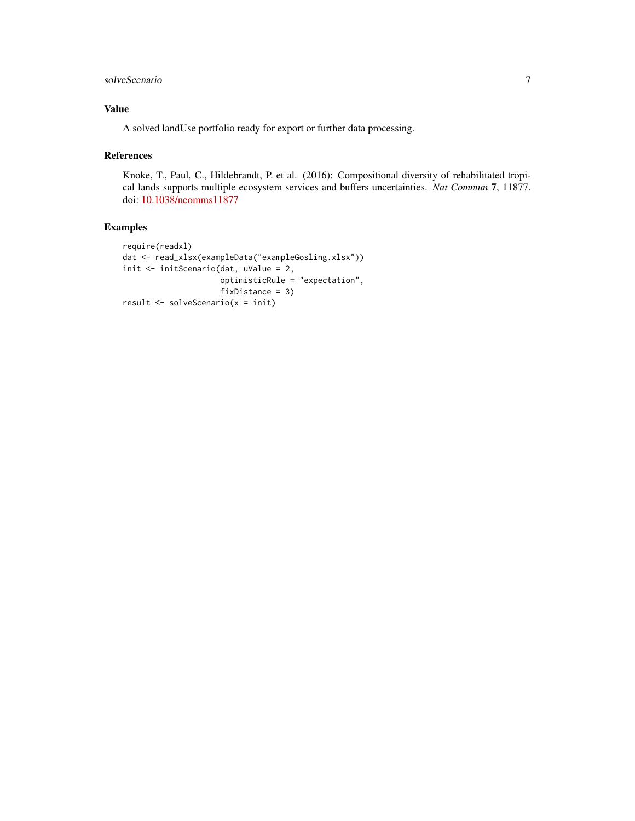# solveScenario 7

# Value

A solved landUse portfolio ready for export or further data processing.

#### References

Knoke, T., Paul, C., Hildebrandt, P. et al. (2016): Compositional diversity of rehabilitated tropical lands supports multiple ecosystem services and buffers uncertainties. *Nat Commun* 7, 11877. doi: [10.1038/ncomms11877](https://doi.org/10.1038/ncomms11877)

# Examples

```
require(readxl)
dat <- read_xlsx(exampleData("exampleGosling.xlsx"))
init <- initScenario(dat, uValue = 2,
                    optimisticRule = "expectation",
                     fixDistance = 3)
result <- solveScenario(x = init)
```